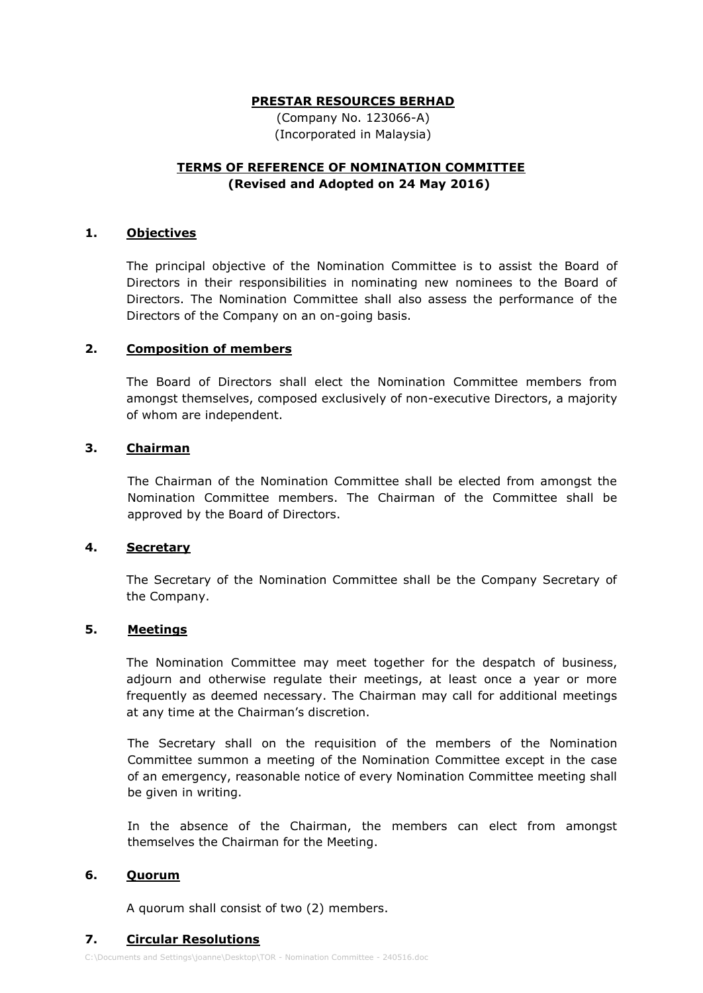## **PRESTAR RESOURCES BERHAD**

(Company No. 123066-A) (Incorporated in Malaysia)

# **TERMS OF REFERENCE OF NOMINATION COMMITTEE (Revised and Adopted on 24 May 2016)**

## **1. Objectives**

The principal objective of the Nomination Committee is to assist the Board of Directors in their responsibilities in nominating new nominees to the Board of Directors. The Nomination Committee shall also assess the performance of the Directors of the Company on an on-going basis.

## **2. Composition of members**

The Board of Directors shall elect the Nomination Committee members from amongst themselves, composed exclusively of non-executive Directors, a majority of whom are independent.

## **3. Chairman**

The Chairman of the Nomination Committee shall be elected from amongst the Nomination Committee members. The Chairman of the Committee shall be approved by the Board of Directors.

#### **4. Secretary**

The Secretary of the Nomination Committee shall be the Company Secretary of the Company.

## **5. Meetings**

The Nomination Committee may meet together for the despatch of business, adjourn and otherwise regulate their meetings, at least once a year or more frequently as deemed necessary. The Chairman may call for additional meetings at any time at the Chairman's discretion.

The Secretary shall on the requisition of the members of the Nomination Committee summon a meeting of the Nomination Committee except in the case of an emergency, reasonable notice of every Nomination Committee meeting shall be given in writing.

In the absence of the Chairman, the members can elect from amongst themselves the Chairman for the Meeting.

## **6. Quorum**

A quorum shall consist of two (2) members.

## **7. Circular Resolutions**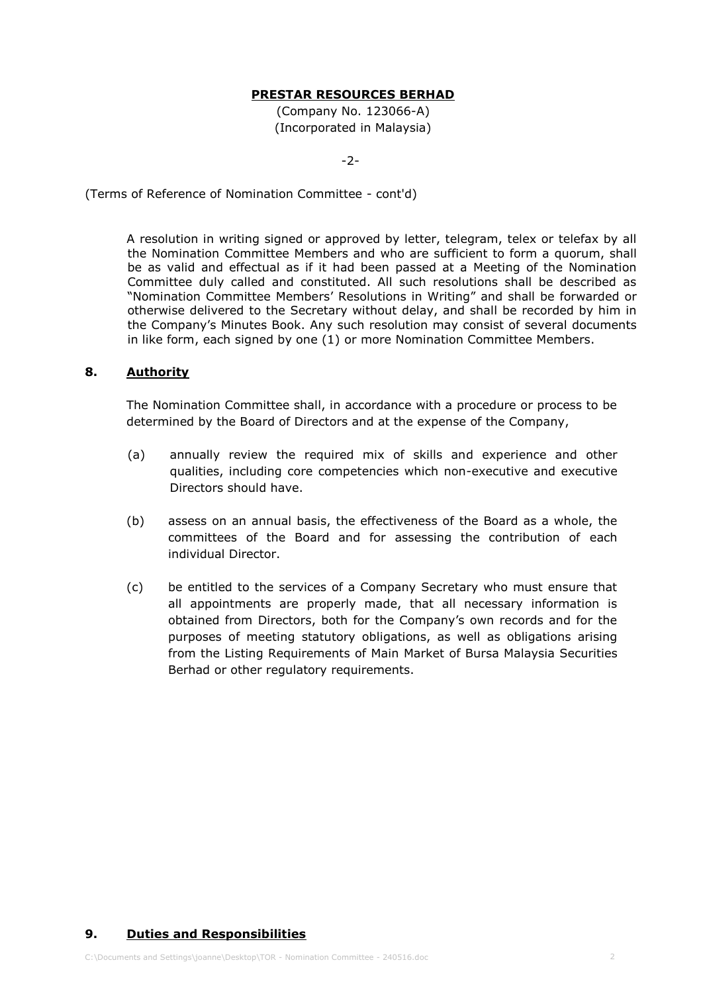## **PRESTAR RESOURCES BERHAD**

(Company No. 123066-A) (Incorporated in Malaysia)

-2-

(Terms of Reference of Nomination Committee - cont'd)

A resolution in writing signed or approved by letter, telegram, telex or telefax by all the Nomination Committee Members and who are sufficient to form a quorum, shall be as valid and effectual as if it had been passed at a Meeting of the Nomination Committee duly called and constituted. All such resolutions shall be described as "Nomination Committee Members' Resolutions in Writing" and shall be forwarded or otherwise delivered to the Secretary without delay, and shall be recorded by him in the Company's Minutes Book. Any such resolution may consist of several documents in like form, each signed by one (1) or more Nomination Committee Members.

#### **8. Authority**

The Nomination Committee shall, in accordance with a procedure or process to be determined by the Board of Directors and at the expense of the Company,

- (a) annually review the required mix of skills and experience and other qualities, including core competencies which non-executive and executive Directors should have.
- (b) assess on an annual basis, the effectiveness of the Board as a whole, the committees of the Board and for assessing the contribution of each individual Director.
- (c) be entitled to the services of a Company Secretary who must ensure that all appointments are properly made, that all necessary information is obtained from Directors, both for the Company's own records and for the purposes of meeting statutory obligations, as well as obligations arising from the Listing Requirements of Main Market of Bursa Malaysia Securities Berhad or other regulatory requirements.

#### **9. Duties and Responsibilities**